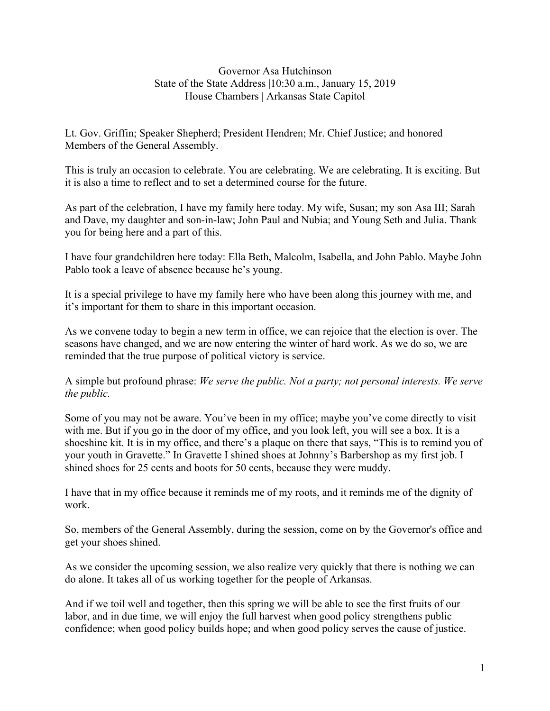Governor Asa Hutchinson State of the State Address |10:30 a.m., January 15, 2019 House Chambers | Arkansas State Capitol

Lt. Gov. Griffin; Speaker Shepherd; President Hendren; Mr. Chief Justice; and honored Members of the General Assembly.

This is truly an occasion to celebrate. You are celebrating. We are celebrating. It is exciting. But it is also a time to reflect and to set a determined course for the future.

As part of the celebration, I have my family here today. My wife, Susan; my son Asa III; Sarah and Dave, my daughter and son-in-law; John Paul and Nubia; and Young Seth and Julia. Thank you for being here and a part of this.

I have four grandchildren here today: Ella Beth, Malcolm, Isabella, and John Pablo. Maybe John Pablo took a leave of absence because he's young.

It is a special privilege to have my family here who have been along this journey with me, and it's important for them to share in this important occasion.

As we convene today to begin a new term in office, we can rejoice that the election is over. The seasons have changed, and we are now entering the winter of hard work. As we do so, we are reminded that the true purpose of political victory is service.

A simple but profound phrase: *We serve the public. Not a party; not personal interests. We serve the public.* 

Some of you may not be aware. You've been in my office; maybe you've come directly to visit with me. But if you go in the door of my office, and you look left, you will see a box. It is a shoeshine kit. It is in my office, and there's a plaque on there that says, "This is to remind you of your youth in Gravette." In Gravette I shined shoes at Johnny's Barbershop as my first job. I shined shoes for 25 cents and boots for 50 cents, because they were muddy.

I have that in my office because it reminds me of my roots, and it reminds me of the dignity of work.

So, members of the General Assembly, during the session, come on by the Governor's office and get your shoes shined.

As we consider the upcoming session, we also realize very quickly that there is nothing we can do alone. It takes all of us working together for the people of Arkansas.

And if we toil well and together, then this spring we will be able to see the first fruits of our labor, and in due time, we will enjoy the full harvest when good policy strengthens public confidence; when good policy builds hope; and when good policy serves the cause of justice.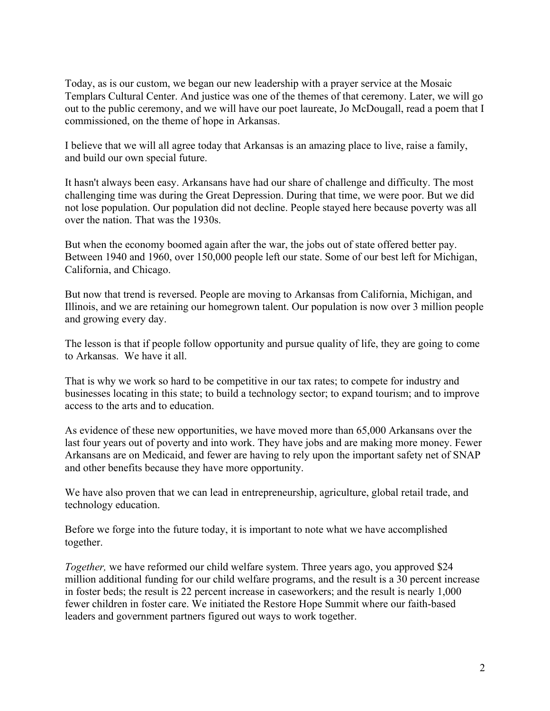Today, as is our custom, we began our new leadership with a prayer service at the Mosaic Templars Cultural Center. And justice was one of the themes of that ceremony. Later, we will go out to the public ceremony, and we will have our poet laureate, Jo McDougall, read a poem that I commissioned, on the theme of hope in Arkansas.

I believe that we will all agree today that Arkansas is an amazing place to live, raise a family, and build our own special future.

It hasn't always been easy. Arkansans have had our share of challenge and difficulty. The most challenging time was during the Great Depression. During that time, we were poor. But we did not lose population. Our population did not decline. People stayed here because poverty was all over the nation. That was the 1930s.

But when the economy boomed again after the war, the jobs out of state offered better pay. Between 1940 and 1960, over 150,000 people left our state. Some of our best left for Michigan, California, and Chicago.

But now that trend is reversed. People are moving to Arkansas from California, Michigan, and Illinois, and we are retaining our homegrown talent. Our population is now over 3 million people and growing every day.

The lesson is that if people follow opportunity and pursue quality of life, they are going to come to Arkansas. We have it all.

That is why we work so hard to be competitive in our tax rates; to compete for industry and businesses locating in this state; to build a technology sector; to expand tourism; and to improve access to the arts and to education.

As evidence of these new opportunities, we have moved more than 65,000 Arkansans over the last four years out of poverty and into work. They have jobs and are making more money. Fewer Arkansans are on Medicaid, and fewer are having to rely upon the important safety net of SNAP and other benefits because they have more opportunity.

We have also proven that we can lead in entrepreneurship, agriculture, global retail trade, and technology education.

Before we forge into the future today, it is important to note what we have accomplished together.

*Together,* we have reformed our child welfare system. Three years ago, you approved \$24 million additional funding for our child welfare programs, and the result is a 30 percent increase in foster beds; the result is 22 percent increase in caseworkers; and the result is nearly 1,000 fewer children in foster care. We initiated the Restore Hope Summit where our faith-based leaders and government partners figured out ways to work together.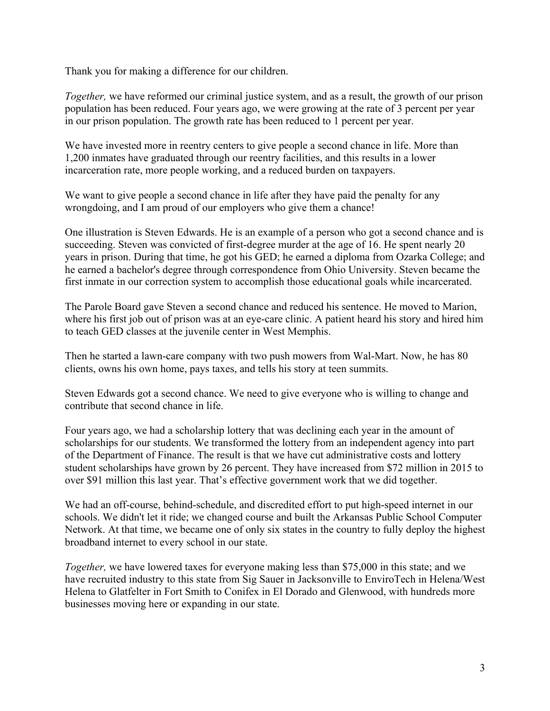Thank you for making a difference for our children.

*Together*, we have reformed our criminal justice system, and as a result, the growth of our prison population has been reduced. Four years ago, we were growing at the rate of 3 percent per year in our prison population. The growth rate has been reduced to 1 percent per year.

We have invested more in reentry centers to give people a second chance in life. More than 1,200 inmates have graduated through our reentry facilities, and this results in a lower incarceration rate, more people working, and a reduced burden on taxpayers.

We want to give people a second chance in life after they have paid the penalty for any wrongdoing, and I am proud of our employers who give them a chance!

One illustration is Steven Edwards. He is an example of a person who got a second chance and is succeeding. Steven was convicted of first-degree murder at the age of 16. He spent nearly 20 years in prison. During that time, he got his GED; he earned a diploma from Ozarka College; and he earned a bachelor's degree through correspondence from Ohio University. Steven became the first inmate in our correction system to accomplish those educational goals while incarcerated.

The Parole Board gave Steven a second chance and reduced his sentence. He moved to Marion, where his first job out of prison was at an eye-care clinic. A patient heard his story and hired him to teach GED classes at the juvenile center in West Memphis.

Then he started a lawn-care company with two push mowers from Wal-Mart. Now, he has 80 clients, owns his own home, pays taxes, and tells his story at teen summits.

Steven Edwards got a second chance. We need to give everyone who is willing to change and contribute that second chance in life.

Four years ago, we had a scholarship lottery that was declining each year in the amount of scholarships for our students. We transformed the lottery from an independent agency into part of the Department of Finance. The result is that we have cut administrative costs and lottery student scholarships have grown by 26 percent. They have increased from \$72 million in 2015 to over \$91 million this last year. That's effective government work that we did together.

We had an off-course, behind-schedule, and discredited effort to put high-speed internet in our schools. We didn't let it ride; we changed course and built the Arkansas Public School Computer Network. At that time, we became one of only six states in the country to fully deploy the highest broadband internet to every school in our state.

*Together,* we have lowered taxes for everyone making less than \$75,000 in this state; and we have recruited industry to this state from Sig Sauer in Jacksonville to EnviroTech in Helena/West Helena to Glatfelter in Fort Smith to Conifex in El Dorado and Glenwood, with hundreds more businesses moving here or expanding in our state.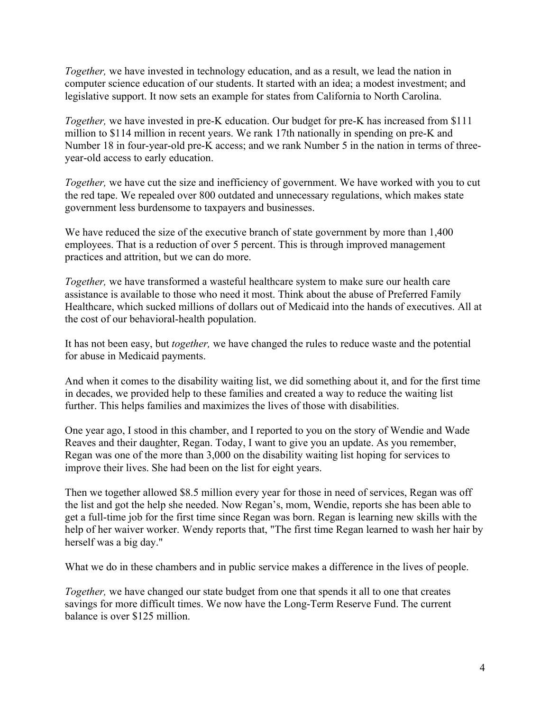*Together,* we have invested in technology education, and as a result, we lead the nation in computer science education of our students. It started with an idea; a modest investment; and legislative support. It now sets an example for states from California to North Carolina.

*Together,* we have invested in pre-K education. Our budget for pre-K has increased from \$111 million to \$114 million in recent years. We rank 17th nationally in spending on pre-K and Number 18 in four-year-old pre-K access; and we rank Number 5 in the nation in terms of threeyear-old access to early education.

*Together*, we have cut the size and inefficiency of government. We have worked with you to cut the red tape. We repealed over 800 outdated and unnecessary regulations, which makes state government less burdensome to taxpayers and businesses.

We have reduced the size of the executive branch of state government by more than 1,400 employees. That is a reduction of over 5 percent. This is through improved management practices and attrition, but we can do more.

*Together,* we have transformed a wasteful healthcare system to make sure our health care assistance is available to those who need it most. Think about the abuse of Preferred Family Healthcare, which sucked millions of dollars out of Medicaid into the hands of executives. All at the cost of our behavioral-health population.

It has not been easy, but *together,* we have changed the rules to reduce waste and the potential for abuse in Medicaid payments.

And when it comes to the disability waiting list, we did something about it, and for the first time in decades, we provided help to these families and created a way to reduce the waiting list further. This helps families and maximizes the lives of those with disabilities.

One year ago, I stood in this chamber, and I reported to you on the story of Wendie and Wade Reaves and their daughter, Regan. Today, I want to give you an update. As you remember, Regan was one of the more than 3,000 on the disability waiting list hoping for services to improve their lives. She had been on the list for eight years.

Then we together allowed \$8.5 million every year for those in need of services, Regan was off the list and got the help she needed. Now Regan's, mom, Wendie, reports she has been able to get a full-time job for the first time since Regan was born. Regan is learning new skills with the help of her waiver worker. Wendy reports that, "The first time Regan learned to wash her hair by herself was a big day."

What we do in these chambers and in public service makes a difference in the lives of people.

*Together,* we have changed our state budget from one that spends it all to one that creates savings for more difficult times. We now have the Long-Term Reserve Fund. The current balance is over \$125 million.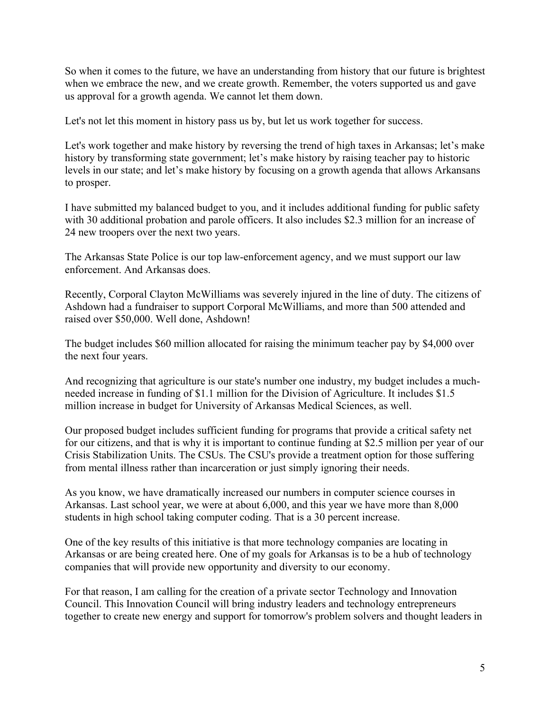So when it comes to the future, we have an understanding from history that our future is brightest when we embrace the new, and we create growth. Remember, the voters supported us and gave us approval for a growth agenda. We cannot let them down.

Let's not let this moment in history pass us by, but let us work together for success.

Let's work together and make history by reversing the trend of high taxes in Arkansas; let's make history by transforming state government; let's make history by raising teacher pay to historic levels in our state; and let's make history by focusing on a growth agenda that allows Arkansans to prosper.

I have submitted my balanced budget to you, and it includes additional funding for public safety with 30 additional probation and parole officers. It also includes \$2.3 million for an increase of 24 new troopers over the next two years.

The Arkansas State Police is our top law-enforcement agency, and we must support our law enforcement. And Arkansas does.

Recently, Corporal Clayton McWilliams was severely injured in the line of duty. The citizens of Ashdown had a fundraiser to support Corporal McWilliams, and more than 500 attended and raised over \$50,000. Well done, Ashdown!

The budget includes \$60 million allocated for raising the minimum teacher pay by \$4,000 over the next four years.

And recognizing that agriculture is our state's number one industry, my budget includes a muchneeded increase in funding of \$1.1 million for the Division of Agriculture. It includes \$1.5 million increase in budget for University of Arkansas Medical Sciences, as well.

Our proposed budget includes sufficient funding for programs that provide a critical safety net for our citizens, and that is why it is important to continue funding at \$2.5 million per year of our Crisis Stabilization Units. The CSUs. The CSU's provide a treatment option for those suffering from mental illness rather than incarceration or just simply ignoring their needs.

As you know, we have dramatically increased our numbers in computer science courses in Arkansas. Last school year, we were at about 6,000, and this year we have more than 8,000 students in high school taking computer coding. That is a 30 percent increase.

One of the key results of this initiative is that more technology companies are locating in Arkansas or are being created here. One of my goals for Arkansas is to be a hub of technology companies that will provide new opportunity and diversity to our economy.

For that reason, I am calling for the creation of a private sector Technology and Innovation Council. This Innovation Council will bring industry leaders and technology entrepreneurs together to create new energy and support for tomorrow's problem solvers and thought leaders in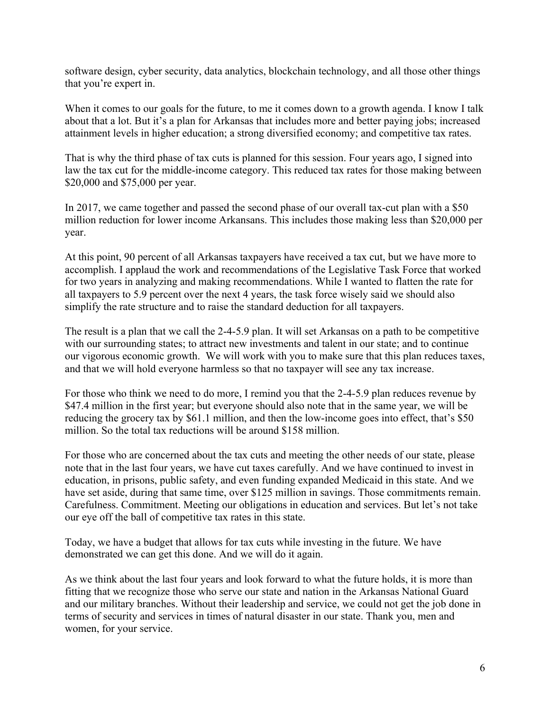software design, cyber security, data analytics, blockchain technology, and all those other things that you're expert in.

When it comes to our goals for the future, to me it comes down to a growth agenda. I know I talk about that a lot. But it's a plan for Arkansas that includes more and better paying jobs; increased attainment levels in higher education; a strong diversified economy; and competitive tax rates.

That is why the third phase of tax cuts is planned for this session. Four years ago, I signed into law the tax cut for the middle-income category. This reduced tax rates for those making between \$20,000 and \$75,000 per year.

In 2017, we came together and passed the second phase of our overall tax-cut plan with a \$50 million reduction for lower income Arkansans. This includes those making less than \$20,000 per year.

At this point, 90 percent of all Arkansas taxpayers have received a tax cut, but we have more to accomplish. I applaud the work and recommendations of the Legislative Task Force that worked for two years in analyzing and making recommendations. While I wanted to flatten the rate for all taxpayers to 5.9 percent over the next 4 years, the task force wisely said we should also simplify the rate structure and to raise the standard deduction for all taxpayers.

The result is a plan that we call the 2-4-5.9 plan. It will set Arkansas on a path to be competitive with our surrounding states; to attract new investments and talent in our state; and to continue our vigorous economic growth. We will work with you to make sure that this plan reduces taxes, and that we will hold everyone harmless so that no taxpayer will see any tax increase.

For those who think we need to do more, I remind you that the 2-4-5.9 plan reduces revenue by \$47.4 million in the first year; but everyone should also note that in the same year, we will be reducing the grocery tax by \$61.1 million, and then the low-income goes into effect, that's \$50 million. So the total tax reductions will be around \$158 million.

For those who are concerned about the tax cuts and meeting the other needs of our state, please note that in the last four years, we have cut taxes carefully. And we have continued to invest in education, in prisons, public safety, and even funding expanded Medicaid in this state. And we have set aside, during that same time, over \$125 million in savings. Those commitments remain. Carefulness. Commitment. Meeting our obligations in education and services. But let's not take our eye off the ball of competitive tax rates in this state.

Today, we have a budget that allows for tax cuts while investing in the future. We have demonstrated we can get this done. And we will do it again.

As we think about the last four years and look forward to what the future holds, it is more than fitting that we recognize those who serve our state and nation in the Arkansas National Guard and our military branches. Without their leadership and service, we could not get the job done in terms of security and services in times of natural disaster in our state. Thank you, men and women, for your service.